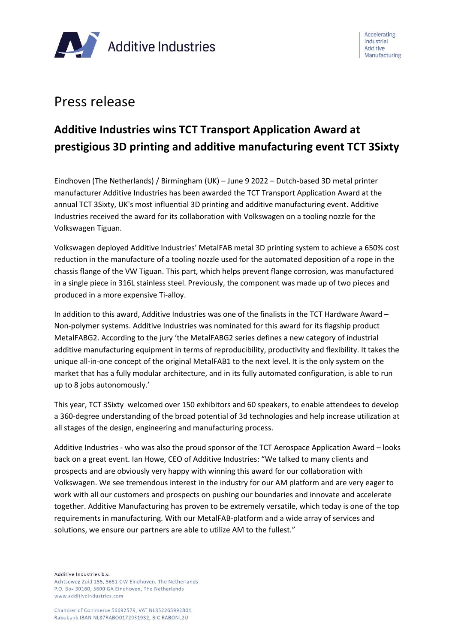

# Press release

# **Additive Industries wins TCT Transport Application Award at prestigious 3D printing and additive manufacturing event TCT 3Sixty**

Eindhoven (The Netherlands) / Birmingham (UK) – June 9 2022 – Dutch-based 3D metal printer manufacturer Additive Industries has been awarded the TCT Transport Application Award at the annual TCT 3Sixty, UK's most influential 3D printing and additive manufacturing event. Additive Industries received the award for its collaboration with Volkswagen on a tooling nozzle for the Volkswagen Tiguan.

Volkswagen deployed Additive Industries' MetalFAB metal 3D printing system to achieve a 650% cost reduction in the manufacture of a tooling nozzle used for the automated deposition of a rope in the chassis flange of the VW Tiguan. This part, which helps prevent flange corrosion, was manufactured in a single piece in 316L stainless steel. Previously, the component was made up of two pieces and produced in a more expensive Ti-alloy.

In addition to this award, Additive Industries was one of the finalists in the TCT Hardware Award – Non-polymer systems. Additive Industries was nominated for this award for its flagship product MetalFABG2. According to the jury 'the MetalFABG2 series defines a new category of industrial additive manufacturing equipment in terms of reproducibility, productivity and flexibility. It takes the unique all-in-one concept of the original MetalFAB1 to the next level. It is the only system on the market that has a fully modular architecture, and in its fully automated configuration, is able to run up to 8 jobs autonomously.'

This year, TCT 3Sixty welcomed over 150 exhibitors and 60 speakers, to enable attendees to develop a 360-degree understanding of the broad potential of 3d technologies and help increase utilization at all stages of the design, engineering and manufacturing process.

Additive Industries - who was also the proud sponsor of the TCT Aerospace Application Award – looks back on a great event. Ian Howe, CEO of Additive Industries: "We talked to many clients and prospects and are obviously very happy with winning this award for our collaboration with Volkswagen. We see tremendous interest in the industry for our AM platform and are very eager to work with all our customers and prospects on pushing our boundaries and innovate and accelerate together. Additive Manufacturing has proven to be extremely versatile, which today is one of the top requirements in manufacturing. With our MetalFAB-platform and a wide array of services and solutions, we ensure our partners are able to utilize AM to the fullest."

Additive Industries b.v.

Achtseweg Zuid 155, 5651 GW Eindhoven, The Netherlands P.O. Box 30160, 5600 GA Eindhoven, The Netherlands www.additiveindustries.com